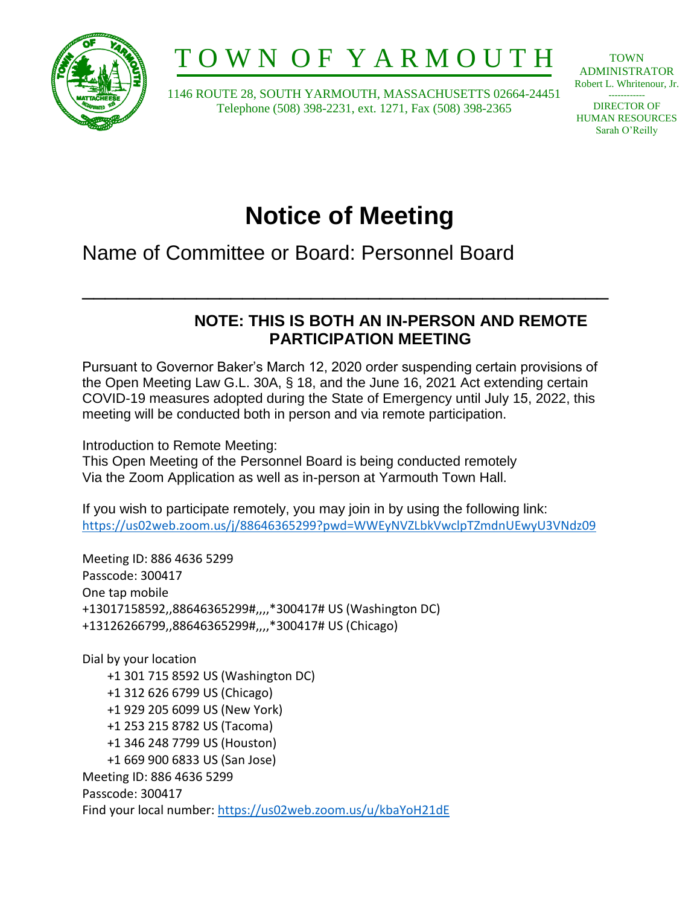

# T O W N O F Y A R M O U T H

 1146 ROUTE 28, SOUTH YARMOUTH, MASSACHUSETTS 02664-24451 Telephone (508) 398-2231, ext. 1271, Fax (508) 398-2365

TOWN ADMINISTRATOR Robert L. Whritenour, Jr. ------------

DIRECTOR OF HUMAN RESOURCES Sarah O'Reilly

## **Notice of Meeting**

\_\_\_\_\_\_\_\_\_\_\_\_\_\_\_\_\_\_\_\_\_\_\_\_\_\_\_\_\_\_\_\_\_\_\_\_\_\_\_\_\_\_\_\_\_\_

Name of Committee or Board: Personnel Board

### **NOTE: THIS IS BOTH AN IN-PERSON AND REMOTE PARTICIPATION MEETING**

Pursuant to Governor Baker's March 12, 2020 order suspending certain provisions of the Open Meeting Law G.L. 30A, § 18, and the June 16, 2021 Act extending certain COVID-19 measures adopted during the State of Emergency until July 15, 2022, this meeting will be conducted both in person and via remote participation.

Introduction to Remote Meeting:

This Open Meeting of the Personnel Board is being conducted remotely Via the Zoom Application as well as in-person at Yarmouth Town Hall.

If you wish to participate remotely, you may join in by using the following link: <https://us02web.zoom.us/j/88646365299?pwd=WWEyNVZLbkVwclpTZmdnUEwyU3VNdz09>

Meeting ID: 886 4636 5299 Passcode: 300417 One tap mobile +13017158592,,88646365299#,,,,\*300417# US (Washington DC) +13126266799,,88646365299#,,,,\*300417# US (Chicago)

Dial by your location +1 301 715 8592 US (Washington DC) +1 312 626 6799 US (Chicago) +1 929 205 6099 US (New York) +1 253 215 8782 US (Tacoma) +1 346 248 7799 US (Houston) +1 669 900 6833 US (San Jose) Meeting ID: 886 4636 5299 Passcode: 300417 Find your local number:<https://us02web.zoom.us/u/kbaYoH21dE>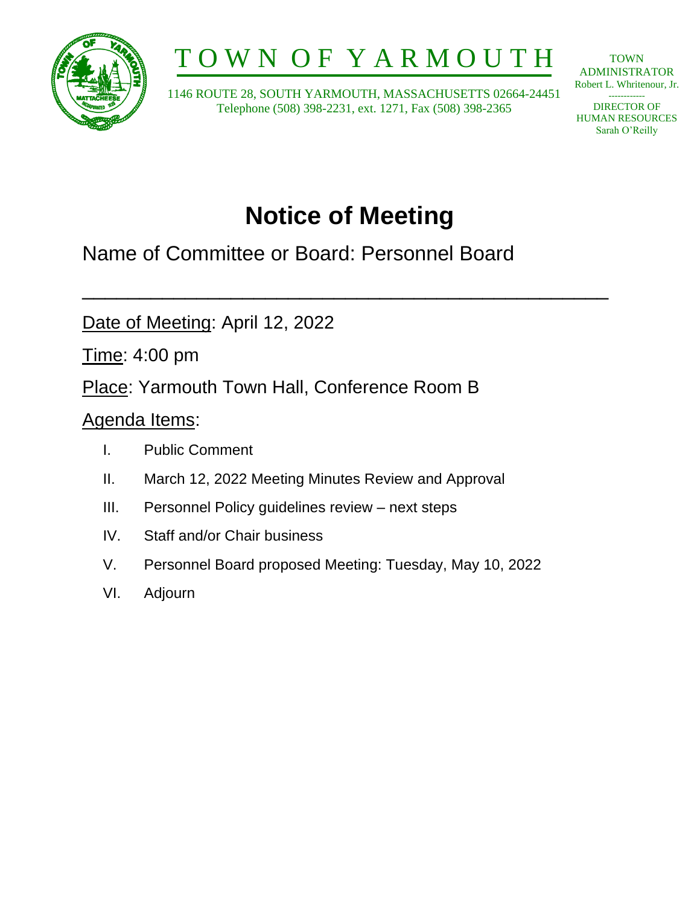

# T O W N O F Y A R M O U T H

 1146 ROUTE 28, SOUTH YARMOUTH, MASSACHUSETTS 02664-24451 Telephone (508) 398-2231, ext. 1271, Fax (508) 398-2365

**TOWN** ADMINISTRATOR Robert L. Whritenour, Jr.

------------ DIRECTOR OF HUMAN RESOURCES Sarah O'Reilly

## **Notice of Meeting**

\_\_\_\_\_\_\_\_\_\_\_\_\_\_\_\_\_\_\_\_\_\_\_\_\_\_\_\_\_\_\_\_\_\_\_\_\_\_\_\_\_\_\_\_\_\_

Name of Committee or Board: Personnel Board

Date of Meeting: April 12, 2022

Time: 4:00 pm

Place: Yarmouth Town Hall, Conference Room B

### Agenda Items:

- I. Public Comment
- II. March 12, 2022 Meeting Minutes Review and Approval
- III. Personnel Policy guidelines review next steps
- IV. Staff and/or Chair business
- V. Personnel Board proposed Meeting: Tuesday, May 10, 2022
- VI. Adjourn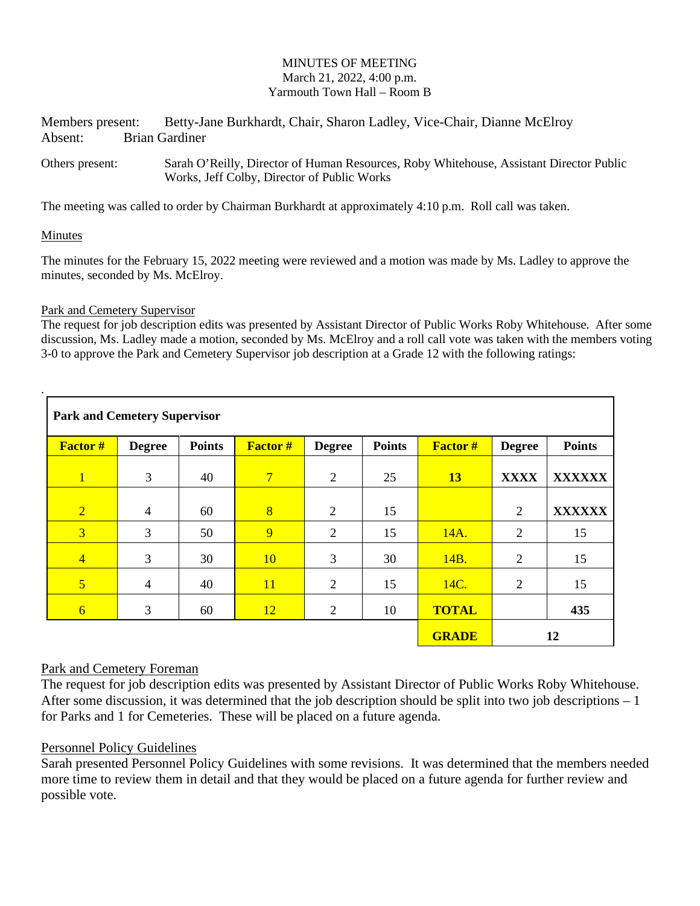#### MINUTES OF MEETING March 21, 2022, 4:00 p.m. Yarmouth Town Hall – Room B

Members present: Betty-Jane Burkhardt, Chair, Sharon Ladley, Vice-Chair, Dianne McElroy Absent: Brian Gardiner

Others present: Sarah O'Reilly, Director of Human Resources, Roby Whitehouse, Assistant Director Public Works, Jeff Colby, Director of Public Works

The meeting was called to order by Chairman Burkhardt at approximately 4:10 p.m. Roll call was taken.

#### Minutes

.

The minutes for the February 15, 2022 meeting were reviewed and a motion was made by Ms. Ladley to approve the minutes, seconded by Ms. McElroy.

#### Park and Cemetery Supervisor

The request for job description edits was presented by Assistant Director of Public Works Roby Whitehouse. After some discussion, Ms. Ladley made a motion, seconded by Ms. McElroy and a roll call vote was taken with the members voting 3-0 to approve the Park and Cemetery Supervisor job description at a Grade 12 with the following ratings:

| <b>Park and Cemetery Supervisor</b> |                |               |                |                |               |                |                |               |
|-------------------------------------|----------------|---------------|----------------|----------------|---------------|----------------|----------------|---------------|
| <b>Factor #</b>                     | <b>Degree</b>  | <b>Points</b> | <b>Factor#</b> | <b>Degree</b>  | <b>Points</b> | <b>Factor#</b> | <b>Degree</b>  | <b>Points</b> |
| $\overline{1}$                      | 3              | 40            | $\overline{7}$ | $\overline{2}$ | 25            | 13             | <b>XXXX</b>    | <b>XXXXXX</b> |
| $\overline{2}$                      | $\overline{4}$ | 60            | $\overline{8}$ | 2              | 15            |                | $\overline{2}$ | <b>XXXXXX</b> |
| $\overline{3}$                      | 3              | 50            | 9              | 2              | 15            | 14A.           | 2              | 15            |
| $\overline{4}$                      | 3              | 30            | <b>10</b>      | 3              | 30            | 14B.           | $\overline{2}$ | 15            |
| $\overline{5}$                      | $\overline{4}$ | 40            | 11             | 2              | 15            | 14C.           | 2              | 15            |
| $\overline{6}$                      | 3              | 60            | <b>12</b>      | $\overline{2}$ | 10            | <b>TOTAL</b>   |                | 435           |
|                                     |                |               |                |                |               | <b>GRADE</b>   | 12             |               |

#### Park and Cemetery Foreman

The request for job description edits was presented by Assistant Director of Public Works Roby Whitehouse. After some discussion, it was determined that the job description should be split into two job descriptions – 1 for Parks and 1 for Cemeteries. These will be placed on a future agenda.

#### Personnel Policy Guidelines

Sarah presented Personnel Policy Guidelines with some revisions. It was determined that the members needed more time to review them in detail and that they would be placed on a future agenda for further review and possible vote.